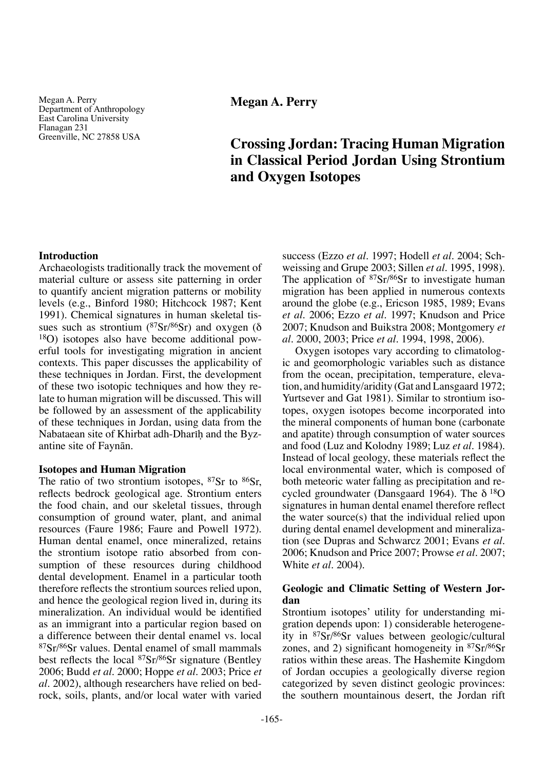Megan A. Perry Department of Anthropology East Carolina University Flanagan 231 Greenville, NC 27858 USA

**Megan A. Perry**

# **Crossing Jordan: Tracing Human Migration in Classical Period Jordan Using Strontium and Oxygen Isotopes**

# **Introduction**

Archaeologists traditionally track the movement of material culture or assess site patterning in order to quantify ancient migration patterns or mobility levels (e.g., Binford 1980; Hitchcock 1987; Kent 1991). Chemical signatures in human skeletal tissues such as strontium ( $87Sr/86Sr$ ) and oxygen ( $\delta$ 18O) isotopes also have become additional powerful tools for investigating migration in ancient contexts. This paper discusses the applicability of these techniques in Jordan. First, the development of these two isotopic techniques and how they relate to human migration will be discussed. This will be followed by an assessment of the applicability of these techniques in Jordan, using data from the Nabataean site of Khirbat adh-Dharih and the Byzantine site of Faynån.

## **Isotopes and Human Migration**

The ratio of two strontium isotopes,  $87Sr$  to  $86Sr$ , reflects bedrock geological age. Strontium enters the food chain, and our skeletal tissues, through consumption of ground water, plant, and animal resources (Faure 1986; Faure and Powell 1972). Human dental enamel, once mineralized, retains the strontium isotope ratio absorbed from consumption of these resources during childhood dental development. Enamel in a particular tooth therefore reflects the strontium sources relied upon, and hence the geological region lived in, during its mineralization. An individual would be identified as an immigrant into a particular region based on a difference between their dental enamel vs. local 87Sr/86Sr values. Dental enamel of small mammals best reflects the local 87Sr/86Sr signature (Bentley 2006; Budd *et al.* 2000; Hoppe *et al.* 2003; Price *et al*. 2002), although researchers have relied on bedrock, soils, plants, and/or local water with varied

success (Ezzo *et al.* 1997; Hodell *et al.* 2004; Schweissing and Grupe 2003; Sillen *et al.* 1995, 1998). The application of <sup>87</sup>Sr/<sup>86</sup>Sr to investigate human migration has been applied in numerous contexts around the globe (e.g., Ericson 1985, 1989; Evans *et al.* 2006; Ezzo *et al.* 1997; Knudson and Price 2007; Knudson and Buikstra 2008; Montgomery *et al.* 2000, 2003; Price *et al.* 1994, 1998, 2006).

Oxygen isotopes vary according to climatologic and geomorphologic variables such as distance from the ocean, precipitation, temperature, elevation, and humidity/aridity (Gat and Lansgaard 1972; Yurtsever and Gat 1981). Similar to strontium isotopes, oxygen isotopes become incorporated into the mineral components of human bone (carbonate and apatite) through consumption of water sources and food (Luz and Kolodny 1989; Luz *et al.* 1984). Instead of local geology, these materials reflect the local environmental water, which is composed of both meteoric water falling as precipitation and recycled groundwater (Dansgaard 1964). The  $\delta^{18}O$ signatures in human dental enamel therefore reflect the water source(s) that the individual relied upon during dental enamel development and mineralization (see Dupras and Schwarcz 2001; Evans *et al.* 2006; Knudson and Price 2007; Prowse *et al.* 2007; White *et al.* 2004).

# **Geologic and Climatic Setting of Western Jordan**

Strontium isotopes' utility for understanding migration depends upon: 1) considerable heterogeneity in 87Sr/86Sr values between geologic/cultural zones, and 2) significant homogeneity in 87Sr/86Sr ratios within these areas. The Hashemite Kingdom of Jordan occupies a geologically diverse region categorized by seven distinct geologic provinces: the southern mountainous desert, the Jordan rift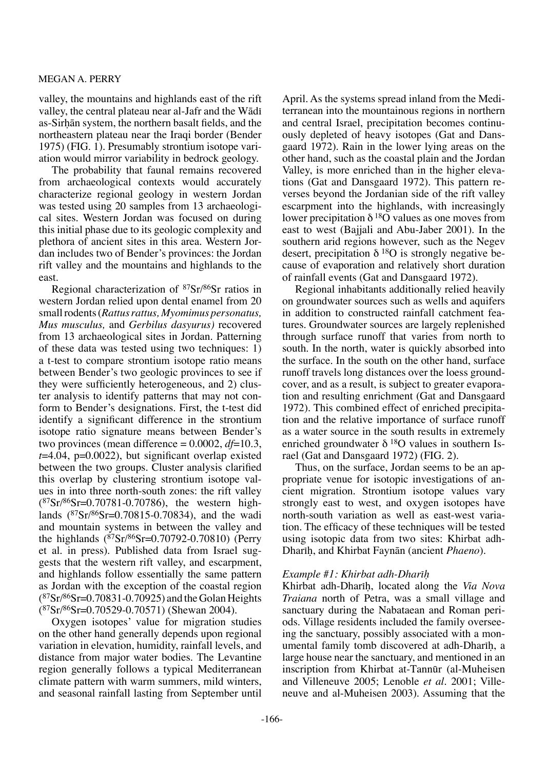valley, the mountains and highlands east of the rift valley, the central plateau near al-Jafr and the Wādī as-Sirhān system, the northern basalt fields, and the northeastern plateau near the Iraqi border (Bender 1975) (FIG. 1). Presumably strontium isotope variation would mirror variability in bedrock geology.

The probability that faunal remains recovered from archaeological contexts would accurately characterize regional geology in western Jordan was tested using 20 samples from 13 archaeological sites. Western Jordan was focused on during this initial phase due to its geologic complexity and plethora of ancient sites in this area. Western Jordan includes two of Bender's provinces: the Jordan rift valley and the mountains and highlands to the east.

Regional characterization of 87Sr/86Sr ratios in western Jordan relied upon dental enamel from 20 small rodents (*Rattus rattus, Myomimus personatus, Mus musculus,* and *Gerbilus dasyurus)* recovered from 13 archaeological sites in Jordan. Patterning of these data was tested using two techniques: 1) a t-test to compare strontium isotope ratio means between Bender's two geologic provinces to see if they were sufficiently heterogeneous, and 2) cluster analysis to identify patterns that may not conform to Bender's designations. First, the t-test did identify a significant difference in the strontium isotope ratio signature means between Bender's two provinces (mean difference = 0.0002, *df*=10.3,  $t=4.04$ ,  $p=0.0022$ ), but significant overlap existed between the two groups. Cluster analysis clarified this overlap by clustering strontium isotope values in into three north-south zones: the rift valley  $(^{87}Sr/^{86}Sr=0.70781-0.70786)$ , the western highlands (87Sr/86Sr=0.70815-0.70834), and the wadi and mountain systems in between the valley and the highlands  $(^{87}Sr/^{86}Sr=0.70792-0.70810)$  (Perry et al. in press). Published data from Israel suggests that the western rift valley, and escarpment, and highlands follow essentially the same pattern as Jordan with the exception of the coastal region  $(^{87}Sr/^{86}Sr=0.70831-0.70925)$  and the Golan Heights (87Sr/86Sr=0.70529-0.70571) (Shewan 2004).

Oxygen isotopes' value for migration studies on the other hand generally depends upon regional variation in elevation, humidity, rainfall levels, and distance from major water bodies. The Levantine region generally follows a typical Mediterranean climate pattern with warm summers, mild winters, and seasonal rainfall lasting from September until

April. As the systems spread inland from the Mediterranean into the mountainous regions in northern and central Israel, precipitation becomes continuously depleted of heavy isotopes (Gat and Dansgaard 1972). Rain in the lower lying areas on the other hand, such as the coastal plain and the Jordan Valley, is more enriched than in the higher elevations (Gat and Dansgaard 1972). This pattern reverses beyond the Jordanian side of the rift valley escarpment into the highlands, with increasingly lower precipitation  $\delta^{18}O$  values as one moves from east to west (Bajjali and Abu-Jaber 2001). In the southern arid regions however, such as the Negev desert, precipitation  $\delta^{18}O$  is strongly negative because of evaporation and relatively short duration of rainfall events (Gat and Dansgaard 1972).

Regional inhabitants additionally relied heavily on groundwater sources such as wells and aquifers in addition to constructed rainfall catchment features. Groundwater sources are largely replenished through surface runoff that varies from north to south. In the north, water is quickly absorbed into the surface. In the south on the other hand, surface runoff travels long distances over the loess groundcover, and as a result, is subject to greater evaporation and resulting enrichment (Gat and Dansgaard 1972). This combined effect of enriched precipitation and the relative importance of surface runoff as a water source in the south results in extremely enriched groundwater  $\delta^{18}$ O values in southern Israel (Gat and Dansgaard 1972) (FIG. 2).

Thus, on the surface, Jordan seems to be an appropriate venue for isotopic investigations of ancient migration. Strontium isotope values vary strongly east to west, and oxygen isotopes have north-south variation as well as east-west variation. The efficacy of these techniques will be tested using isotopic data from two sites: Khirbat adh-Dhariḥ, and Khirbat Faynān (ancient *Phaeno*).

# *Example #1: Khirbat adh-Dharīh*

Khirbat adh-Dharih, located along the *Via Nova Traiana* north of Petra, was a small village and sanctuary during the Nabataean and Roman periods. Village residents included the family overseeing the sanctuary, possibly associated with a monumental family tomb discovered at adh-Dharih, a large house near the sanctuary, and mentioned in an inscription from Khirbat at-Tannør (al-Muheisen and Villeneuve 2005; Lenoble *et al.* 2001; Villeneuve and al-Muheisen 2003). Assuming that the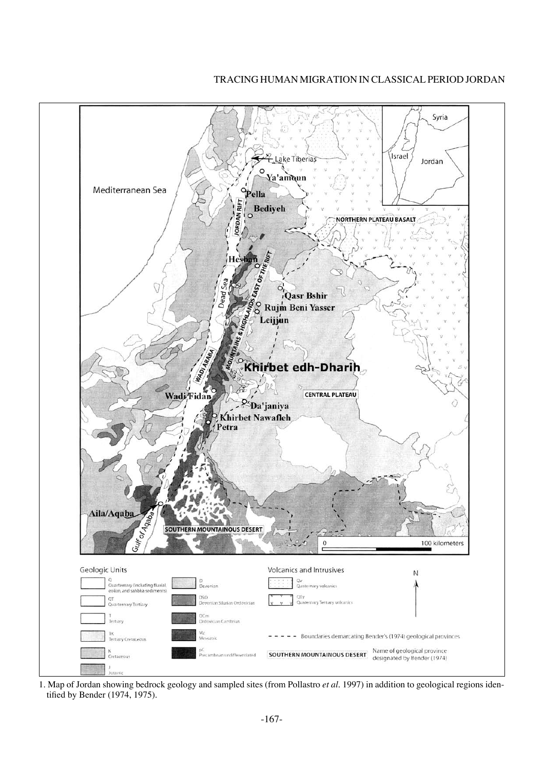# Tracing Human Migration in Classical Period Jordan



1. Map of Jordan showing bedrock geology and sampled sites (from Pollastro *et al.* 1997) in addition to geological regions identified by Bender (1974, 1975).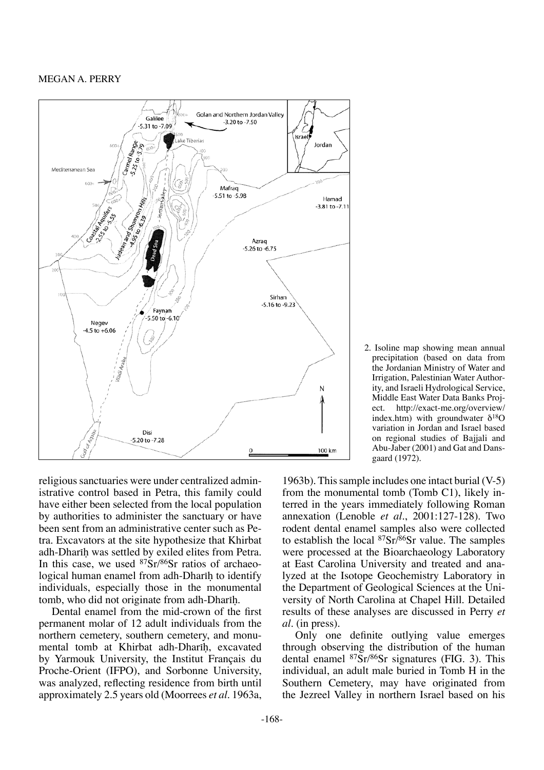

2. Isoline map showing mean annual precipitation (based on data from the Jordanian Ministry of Water and Irrigation, Palestinian Water Authority, and Israeli Hydrological Service, Middle East Water Data Banks Project. http://exact-me.org/overview/ index.htm) with groundwater  $\delta^{18}O$ variation in Jordan and Israel based on regional studies of Bajjali and Abu-Jaber (2001) and Gat and Dansgaard (1972).

religious sanctuaries were under centralized administrative control based in Petra, this family could have either been selected from the local population by authorities to administer the sanctuary or have been sent from an administrative center such as Petra. Excavators at the site hypothesize that Khirbat adh-Dharih was settled by exiled elites from Petra. In this case, we used  $87Sr/86Sr$  ratios of archaeological human enamel from adh-Dharih to identify individuals, especially those in the monumental tomb, who did not originate from adh-Dharih.

Dental enamel from the mid-crown of the first permanent molar of 12 adult individuals from the northern cemetery, southern cemetery, and monumental tomb at Khirbat adh-Dharih, excavated by Yarmouk University, the Institut Français du Proche-Orient (IFPO), and Sorbonne University, was analyzed, reflecting residence from birth until approximately 2.5 years old (Moorrees *et al.* 1963a,

1963b). This sample includes one intact burial (V-5) from the monumental tomb (Tomb C1), likely interred in the years immediately following Roman annexation (Lenoble *et al.*, 2001:127-128). Two rodent dental enamel samples also were collected to establish the local  $87Sr$ / $86Sr$  value. The samples were processed at the Bioarchaeology Laboratory at East Carolina University and treated and analyzed at the Isotope Geochemistry Laboratory in the Department of Geological Sciences at the University of North Carolina at Chapel Hill. Detailed results of these analyses are discussed in Perry *et al.* (in press).

Only one definite outlying value emerges through observing the distribution of the human dental enamel 87Sr/86Sr signatures (FIG. 3). This individual, an adult male buried in Tomb H in the Southern Cemetery, may have originated from the Jezreel Valley in northern Israel based on his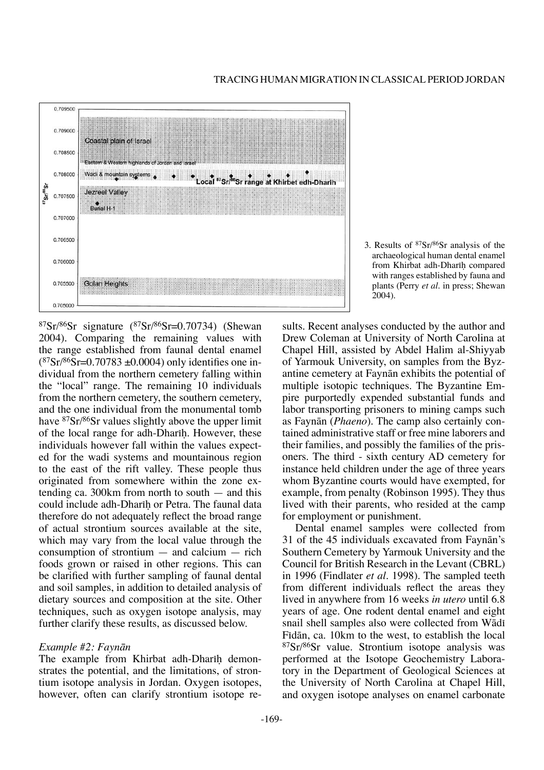

#### Tracing Human Migration in Classical Period Jordan

3. Results of 87Sr/86Sr analysis of the archaeological human dental enamel from Khirbat adh-Dharih compared with ranges established by fauna and plants (Perry *et al.* in press; Shewan 2004).

 ${}^{87}Sr/{}^{86}Sr$  signature  $({}^{87}Sr/{}^{86}Sr=0.70734)$  (Shewan 2004). Comparing the remaining values with the range established from faunal dental enamel  $(^{87}Sr/^{86}Sr=0.70783 \pm 0.0004)$  only identifies one individual from the northern cemetery falling within the "local" range. The remaining 10 individuals from the northern cemetery, the southern cemetery, and the one individual from the monumental tomb have 87Sr/86Sr values slightly above the upper limit of the local range for adh-Dharih. However, these individuals however fall within the values expected for the wadi systems and mountainous region to the east of the rift valley. These people thus originated from somewhere within the zone extending ca. 300km from north to south — and this could include adh-Dharih or Petra. The faunal data therefore do not adequately reflect the broad range of actual strontium sources available at the site, which may vary from the local value through the consumption of strontium — and calcium — rich foods grown or raised in other regions. This can be clarified with further sampling of faunal dental and soil samples, in addition to detailed analysis of dietary sources and composition at the site. Other techniques, such as oxygen isotope analysis, may further clarify these results, as discussed below.

## *Example #2: Faynån*

The example from Khirbat adh-Dharih demonstrates the potential, and the limitations, of strontium isotope analysis in Jordan. Oxygen isotopes, however, often can clarify strontium isotope results. Recent analyses conducted by the author and Drew Coleman at University of North Carolina at Chapel Hill, assisted by Abdel Halim al-Shiyyab of Yarmouk University, on samples from the Byzantine cemetery at Faynån exhibits the potential of multiple isotopic techniques. The Byzantine Empire purportedly expended substantial funds and labor transporting prisoners to mining camps such as Faynån (*Phaeno*). The camp also certainly contained administrative staff or free mine laborers and their families, and possibly the families of the prisoners. The third - sixth century AD cemetery for instance held children under the age of three years whom Byzantine courts would have exempted, for example, from penalty (Robinson 1995). They thus lived with their parents, who resided at the camp for employment or punishment.

Dental enamel samples were collected from 31 of the 45 individuals excavated from Faynån's Southern Cemetery by Yarmouk University and the Council for British Research in the Levant (CBRL) in 1996 (Findlater *et al.* 1998). The sampled teeth from different individuals reflect the areas they lived in anywhere from 16 weeks *in utero* until 6.8 years of age. One rodent dental enamel and eight snail shell samples also were collected from Wādī Fidān, ca. 10km to the west, to establish the local 87Sr/86Sr value. Strontium isotope analysis was performed at the Isotope Geochemistry Laboratory in the Department of Geological Sciences at the University of North Carolina at Chapel Hill, and oxygen isotope analyses on enamel carbonate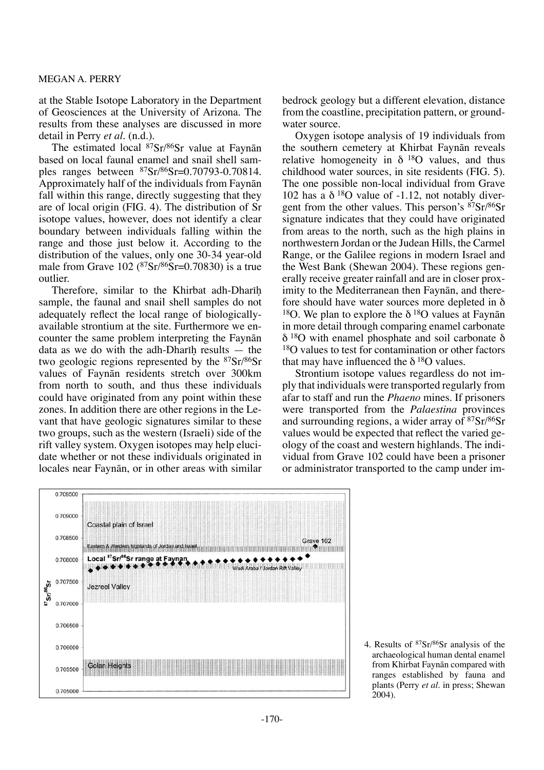at the Stable Isotope Laboratory in the Department of Geosciences at the University of Arizona. The results from these analyses are discussed in more detail in Perry *et al.* (n.d.).

The estimated local <sup>87</sup>Sr/<sup>86</sup>Sr value at Faynān based on local faunal enamel and snail shell samples ranges between 87Sr/86Sr=0.70793-0.70814. Approximately half of the individuals from Faynån fall within this range, directly suggesting that they are of local origin (FIG. 4). The distribution of Sr isotope values, however, does not identify a clear boundary between individuals falling within the range and those just below it. According to the distribution of the values, only one 30-34 year-old male from Grave  $102 \frac{(87 \text{Sr}}{86 \text{Sr}} = 0.70830)$  is a true outlier.

Therefore, similar to the Khirbat adh-Dharih sample, the faunal and snail shell samples do not adequately reflect the local range of biologicallyavailable strontium at the site. Furthermore we encounter the same problem interpreting the Faynån data as we do with the adh-Dharih results  $-$  the two geologic regions represented by the 87Sr/86Sr values of Faynån residents stretch over 300km from north to south, and thus these individuals could have originated from any point within these zones. In addition there are other regions in the Levant that have geologic signatures similar to these two groups, such as the western (Israeli) side of the rift valley system. Oxygen isotopes may help elucidate whether or not these individuals originated in locales near Faynån, or in other areas with similar bedrock geology but a different elevation, distance from the coastline, precipitation pattern, or groundwater source.

Oxygen isotope analysis of 19 individuals from the southern cemetery at Khirbat Faynån reveals relative homogeneity in  $\delta$  <sup>18</sup>O values, and thus childhood water sources, in site residents (FIG. 5). The one possible non-local individual from Grave 102 has a  $\delta^{18}$ O value of -1.12, not notably divergent from the other values. This person's  $87Sr/86Sr$ signature indicates that they could have originated from areas to the north, such as the high plains in northwestern Jordan or the Judean Hills, the Carmel Range, or the Galilee regions in modern Israel and the West Bank (Shewan 2004). These regions generally receive greater rainfall and are in closer proximity to the Mediterranean then Faynån, and therefore should have water sources more depleted in δ <sup>18</sup>O. We plan to explore the  $\delta$ <sup>18</sup>O values at Faynan in more detail through comparing enamel carbonate  $δ$ <sup>18</sup>O with enamel phosphate and soil carbonate  $δ$ <sup>18</sup>O values to test for contamination or other factors that may have influenced the  $\delta^{18}$ O values.

Strontium isotope values regardless do not imply that individuals were transported regularly from afar to staff and run the *Phaeno* mines. If prisoners were transported from the *Palaestina* provinces and surrounding regions, a wider array of 87Sr/86Sr values would be expected that reflect the varied geology of the coast and western highlands. The individual from Grave 102 could have been a prisoner or administrator transported to the camp under im-



4. Results of 87Sr/86Sr analysis of the archaeological human dental enamel from Khirbat Faynån compared with ranges established by fauna and plants (Perry *et al.* in press; Shewan 2004).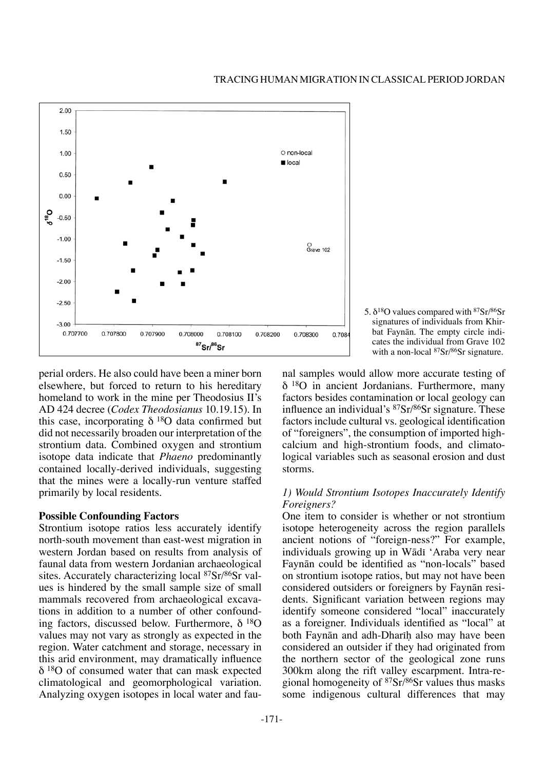

5.  $\delta^{18}$ O values compared with  $87$ Sr $/86$ Sr signatures of individuals from Khirbat Faynån. The empty circle indicates the individual from Grave 102 with a non-local <sup>87</sup>Sr/86Sr signature.

perial orders. He also could have been a miner born elsewhere, but forced to return to his hereditary homeland to work in the mine per Theodosius II's AD 424 decree (*Codex Theodosianus* 10.19.15). In this case, incorporating  $\delta^{18}O$  data confirmed but did not necessarily broaden our interpretation of the strontium data. Combined oxygen and strontium isotope data indicate that *Phaeno* predominantly contained locally-derived individuals, suggesting that the mines were a locally-run venture staffed primarily by local residents.

## **Possible Confounding Factors**

Strontium isotope ratios less accurately identify north-south movement than east-west migration in western Jordan based on results from analysis of faunal data from western Jordanian archaeological sites. Accurately characterizing local 87Sr/86Sr values is hindered by the small sample size of small mammals recovered from archaeological excavations in addition to a number of other confounding factors, discussed below. Furthermore,  $δ^{18}O$ values may not vary as strongly as expected in the region. Water catchment and storage, necessary in this arid environment, may dramatically influence δ 18O of consumed water that can mask expected climatological and geomorphological variation. Analyzing oxygen isotopes in local water and faunal samples would allow more accurate testing of δ 18O in ancient Jordanians. Furthermore, many factors besides contamination or local geology can influence an individual's 87Sr/86Sr signature. These factors include cultural vs. geological identification of "foreigners", the consumption of imported highcalcium and high-strontium foods, and climatological variables such as seasonal erosion and dust storms.

# *1) Would Strontium Isotopes Inaccurately Identify Foreigners?*

One item to consider is whether or not strontium isotope heterogeneity across the region parallels ancient notions of "foreign-ness?" For example, individuals growing up in Wādī 'Araba very near Faynån could be identified as "non-locals" based on strontium isotope ratios, but may not have been considered outsiders or foreigners by Faynån residents. Significant variation between regions may identify someone considered "local" inaccurately as a foreigner. Individuals identified as "local" at both Faynān and adh-Dharīh also may have been considered an outsider if they had originated from the northern sector of the geological zone runs 300km along the rift valley escarpment. Intra-regional homogeneity of  $87Sr/86Sr$  values thus masks some indigenous cultural differences that may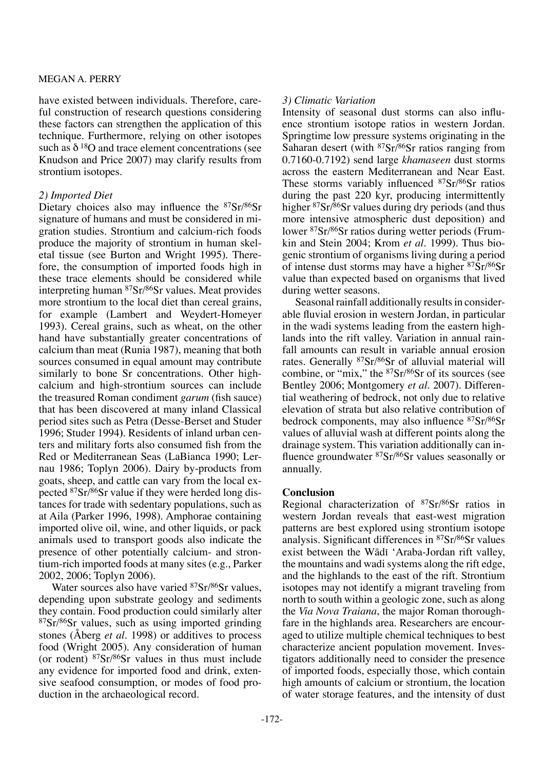have existed between individuals. Therefore, careful construction of research questions considering these factors can strengthen the application of this technique. Furthermore, relying on other isotopes such as  $\delta^{18}$ O and trace element concentrations (see Knudson and Price 2007) may clarify results from strontium isotopes.

# *2) Imported Diet*

Dietary choices also may influence the 87Sr/86Sr signature of humans and must be considered in migration studies. Strontium and calcium-rich foods produce the majority of strontium in human skeletal tissue (see Burton and Wright 1995). Therefore, the consumption of imported foods high in these trace elements should be considered while interpreting human 87Sr/86Sr values. Meat provides more strontium to the local diet than cereal grains, for example (Lambert and Weydert-Homeyer 1993). Cereal grains, such as wheat, on the other hand have substantially greater concentrations of calcium than meat (Runia 1987), meaning that both sources consumed in equal amount may contribute similarly to bone Sr concentrations. Other highcalcium and high-strontium sources can include the treasured Roman condiment *garum* (fish sauce) that has been discovered at many inland Classical period sites such as Petra (Desse-Berset and Studer 1996; Studer 1994**)**. Residents of inland urban centers and military forts also consumed fish from the Red or Mediterranean Seas (LaBianca 1990; Lernau 1986; Toplyn 2006). Dairy by-products from goats, sheep, and cattle can vary from the local expected 87Sr/86Sr value if they were herded long distances for trade with sedentary populations, such as at Aila (Parker 1996, 1998). Amphorae containing imported olive oil, wine, and other liquids, or pack animals used to transport goods also indicate the presence of other potentially calcium- and strontium-rich imported foods at many sites (e.g., Parker 2002, 2006; Toplyn 2006).

Water sources also have varied <sup>87</sup>Sr/<sup>86</sup>Sr values, depending upon substrate geology and sediments they contain. Food production could similarly alter <sup>87</sup>Sr/<sup>86</sup>Sr values, such as using imported grinding stones (Åberg *et al.* 1998) or additives to process food (Wright 2005). Any consideration of human (or rodent)  $87Sr/86Sr$  values in thus must include any evidence for imported food and drink, extensive seafood consumption, or modes of food production in the archaeological record.

# *3) Climatic Variation*

Intensity of seasonal dust storms can also influence strontium isotope ratios in western Jordan. Springtime low pressure systems originating in the Saharan desert (with  $87Sr/86Sr$  ratios ranging from 0.7160-0.7192) send large *khamaseen* dust storms across the eastern Mediterranean and Near East. These storms variably influenced <sup>87</sup>Sr/<sup>86</sup>Sr ratios during the past 220 kyr, producing intermittently higher <sup>87</sup>Sr/86Sr values during dry periods (and thus more intensive atmospheric dust deposition) and lower 87Sr/86Sr ratios during wetter periods (Frumkin and Stein 2004; Krom *et al.* 1999). Thus biogenic strontium of organisms living during a period of intense dust storms may have a higher 87Sr/86Sr value than expected based on organisms that lived during wetter seasons.

Seasonal rainfall additionally results in considerable fluvial erosion in western Jordan, in particular in the wadi systems leading from the eastern highlands into the rift valley. Variation in annual rainfall amounts can result in variable annual erosion rates. Generally 87Sr/86Sr of alluvial material will combine, or "mix," the  $87Sr/86Sr$  of its sources (see Bentley 2006; Montgomery *et al.* 2007). Differential weathering of bedrock, not only due to relative elevation of strata but also relative contribution of bedrock components, may also influence 87Sr/86Sr values of alluvial wash at different points along the drainage system. This variation additionally can influence groundwater 87Sr/86Sr values seasonally or annually.

# **Conclusion**

Regional characterization of 87Sr/86Sr ratios in western Jordan reveals that east-west migration patterns are best explored using strontium isotope analysis. Significant differences in 87Sr/86Sr values exist between the Wādī 'Araba-Jordan rift valley, the mountains and wadi systems along the rift edge, and the highlands to the east of the rift. Strontium isotopes may not identify a migrant traveling from north to south within a geologic zone, such as along the *Via Nova Traiana*, the major Roman thoroughfare in the highlands area. Researchers are encouraged to utilize multiple chemical techniques to best characterize ancient population movement. Investigators additionally need to consider the presence of imported foods, especially those, which contain high amounts of calcium or strontium, the location of water storage features, and the intensity of dust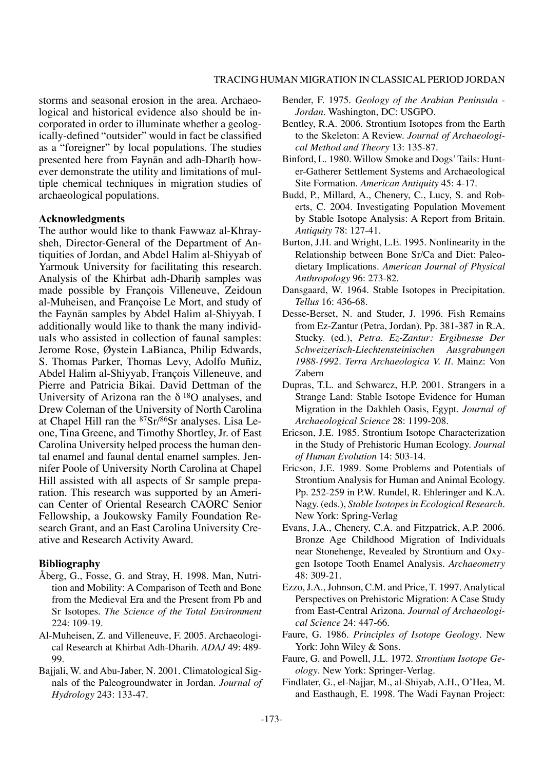storms and seasonal erosion in the area. Archaeological and historical evidence also should be incorporated in order to illuminate whether a geologically-defined "outsider" would in fact be classified as a "foreigner" by local populations. The studies presented here from Faynān and adh-Dharīh however demonstrate the utility and limitations of multiple chemical techniques in migration studies of archaeological populations.

#### **Acknowledgments**

The author would like to thank Fawwaz al-Khraysheh, Director-General of the Department of Antiquities of Jordan, and Abdel Halim al-Shiyyab of Yarmouk University for facilitating this research. Analysis of the Khirbat adh-Dharih samples was made possible by François Villeneuve, Zeidoun al-Muheisen, and Françoise Le Mort, and study of the Faynån samples by Abdel Halim al-Shiyyab. I additionally would like to thank the many individuals who assisted in collection of faunal samples: Jerome Rose, Øystein LaBianca, Philip Edwards, S. Thomas Parker, Thomas Levy, Adolfo Muñiz, Abdel Halim al-Shiyyab, François Villeneuve, and Pierre and Patricia Bikai. David Dettman of the University of Arizona ran the  $\delta^{18}$ O analyses, and Drew Coleman of the University of North Carolina at Chapel Hill ran the 87Sr/86Sr analyses. Lisa Leone, Tina Greene, and Timothy Shortley, Jr. of East Carolina University helped process the human dental enamel and faunal dental enamel samples. Jennifer Poole of University North Carolina at Chapel Hill assisted with all aspects of Sr sample preparation. This research was supported by an American Center of Oriental Research CAORC Senior Fellowship, a Joukowsky Family Foundation Research Grant, and an East Carolina University Creative and Research Activity Award.

## **Bibliography**

- Åberg, G., Fosse, G. and Stray, H. 1998. Man, Nutrition and Mobility: A Comparison of Teeth and Bone from the Medieval Era and the Present from Pb and Sr Isotopes. *The Science of the Total Environment* 224: 109-19.
- Al-Muheisen, Z. and Villeneuve, F. 2005. Archaeological Research at Khirbat Adh-Dharih. *ADAJ* 49: 489- 99.
- Bajjali, W. and Abu-Jaber, N. 2001. Climatological Signals of the Paleogroundwater in Jordan. *Journal of Hydrology* 243: 133-47.
- Bender, F. 1975. *Geology of the Arabian Peninsula Jordan*. Washington, DC: USGPO.
- Bentley, R.A. 2006. Strontium Isotopes from the Earth to the Skeleton: A Review. *Journal of Archaeological Method and Theory* 13: 135-87.
- Binford, L. 1980. Willow Smoke and Dogs' Tails: Hunter-Gatherer Settlement Systems and Archaeological Site Formation. *American Antiquity* 45: 4-17.
- Budd, P., Millard, A., Chenery, C., Lucy, S. and Roberts, C. 2004. Investigating Population Movement by Stable Isotope Analysis: A Report from Britain. *Antiquity* 78: 127-41.
- Burton, J.H. and Wright, L.E. 1995. Nonlinearity in the Relationship between Bone Sr/Ca and Diet: Paleodietary Implications. *American Journal of Physical Anthropology* 96: 273-82.
- Dansgaard, W. 1964. Stable Isotopes in Precipitation. *Tellus* 16: 436-68.
- Desse-Berset, N. and Studer, J. 1996. Fish Remains from Ez-Zantur (Petra, Jordan). Pp. 381-387 in R.A. Stucky. (ed.), *Petra. Ez-Zantur: Ergibnesse Der Schweizerisch-Liechtensteinischen Ausgrabungen 1988-1992. Terra Archaeologica V. II*. Mainz: Von Zabern
- Dupras, T.L. and Schwarcz, H.P. 2001. Strangers in a Strange Land: Stable Isotope Evidence for Human Migration in the Dakhleh Oasis, Egypt. *Journal of Archaeological Science* 28: 1199-208.
- Ericson, J.E. 1985. Strontium Isotope Characterization in the Study of Prehistoric Human Ecology. *Journal of Human Evolution* 14: 503-14.
- Ericson, J.E. 1989. Some Problems and Potentials of Strontium Analysis for Human and Animal Ecology. Pp. 252-259 in P.W. Rundel, R. Ehleringer and K.A. Nagy. (eds.), *Stable Isotopes in Ecological Research*. New York: Spring-Verlag
- Evans, J.A., Chenery, C.A. and Fitzpatrick, A.P. 2006. Bronze Age Childhood Migration of Individuals near Stonehenge, Revealed by Strontium and Oxygen Isotope Tooth Enamel Analysis. *Archaeometry* 48: 309-21.
- Ezzo, J.A., Johnson, C.M. and Price, T. 1997. Analytical Perspectives on Prehistoric Migration: A Case Study from East-Central Arizona. *Journal of Archaeological Science* 24: 447-66.
- Faure, G. 1986. *Principles of Isotope Geology*. New York: John Wiley & Sons.
- Faure, G. and Powell, J.L. 1972. *Strontium Isotope Geology*. New York: Springer-Verlag.
- Findlater, G., el-Najjar, M., al-Shiyab, A.H., O'Hea, M. and Easthaugh, E. 1998. The Wadi Faynan Project: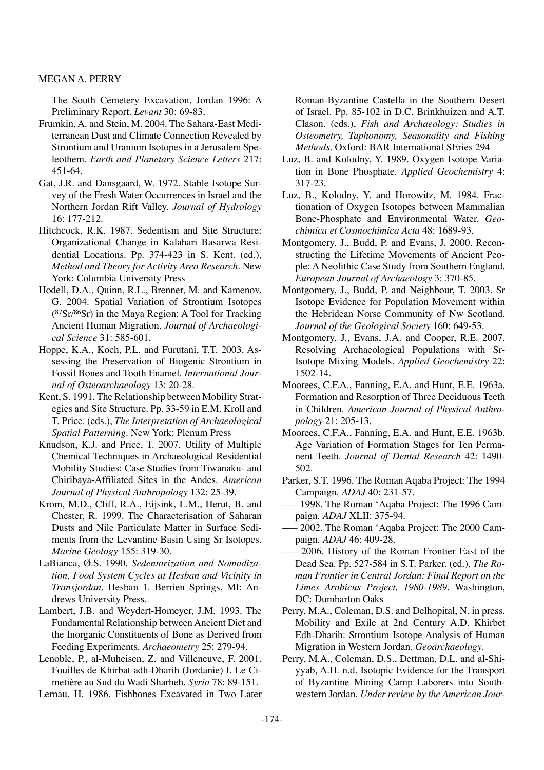The South Cemetery Excavation, Jordan 1996: A Preliminary Report. *Levant* 30: 69-83.

- Frumkin, A. and Stein, M. 2004. The Sahara-East Mediterranean Dust and Climate Connection Revealed by Strontium and Uranium Isotopes in a Jerusalem Speleothem. *Earth and Planetary Science Letters* 217: 451-64.
- Gat, J.R. and Dansgaard, W. 1972. Stable Isotope Survey of the Fresh Water Occurrences in Israel and the Northern Jordan Rift Valley. *Journal of Hydrology* 16: 177-212.
- Hitchcock, R.K. 1987. Sedentism and Site Structure: Organizational Change in Kalahari Basarwa Residential Locations. Pp. 374-423 in S. Kent. (ed.), *Method and Theory for Activity Area Research*. New York: Columbia University Press
- Hodell, D.A., Quinn, R.L., Brenner, M. and Kamenov, G. 2004. Spatial Variation of Strontium Isotopes (87Sr/86Sr) in the Maya Region: A Tool for Tracking Ancient Human Migration. *Journal of Archaeological Science* 31: 585-601.
- Hoppe, K.A., Koch, P.L. and Furutani, T.T. 2003. Assessing the Preservation of Biogenic Strontium in Fossil Bones and Tooth Enamel. *International Journal of Osteoarchaeology* 13: 20-28.
- Kent, S. 1991. The Relationship between Mobility Strategies and Site Structure. Pp. 33-59 in E.M. Kroll and T. Price. (eds.), *The Interpretation of Archaeological Spatial Patterning*. New York: Plenum Press
- Knudson, K.J. and Price, T. 2007. Utility of Multiple Chemical Techniques in Archaeological Residential Mobility Studies: Case Studies from Tiwanaku- and Chiribaya-Affiliated Sites in the Andes. *American Journal of Physical Anthropology* 132: 25-39.
- Krom, M.D., Cliff, R.A., Eijsink, L.M., Herut, B. and Chester, R. 1999. The Characterisation of Saharan Dusts and Nile Particulate Matter in Surface Sediments from the Levantine Basin Using Sr Isotopes. *Marine Geology* 155: 319-30.
- LaBianca, Ø.S. 1990. *Sedentarization and Nomadization, Food System Cycles at Hesban and Vicinity in Transjordan*. Hesban 1. Berrien Springs, MI: Andrews University Press.
- Lambert, J.B. and Weydert-Homeyer, J.M. 1993. The Fundamental Relationship between Ancient Diet and the Inorganic Constituents of Bone as Derived from Feeding Experiments. *Archaeometry* 25: 279-94.
- Lenoble, P., al-Muheisen, Z. and Villeneuve, F. 2001. Fouilles de Khirbat adh-Dharih (Jordanie) I. Le Cimetière au Sud du Wadi Sharheh. *Syria* 78: 89-151.

Lernau, H. 1986. Fishbones Excavated in Two Later

Roman-Byzantine Castella in the Southern Desert of Israel. Pp. 85-102 in D.C. Brinkhuizen and A.T. Clason. (eds.), *Fish and Archaeology: Studies in Osteometry, Taphonomy, Seasonality and Fishing Methods*. Oxford: BAR International SEries 294

- Luz, B. and Kolodny, Y. 1989. Oxygen Isotope Variation in Bone Phosphate. *Applied Geochemistry* 4: 317-23.
- Luz, B., Kolodny, Y. and Horowitz, M. 1984. Fractionation of Oxygen Isotopes between Mammalian Bone-Phosphate and Environmental Water. *Geochimica et Cosmochimica Acta* 48: 1689-93.
- Montgomery, J., Budd, P. and Evans, J. 2000. Reconstructing the Lifetime Movements of Ancient People: A Neolithic Case Study from Southern England. *European Journal of Archaeology* 3: 370-85.
- Montgomery, J., Budd, P. and Neighbour, T. 2003. Sr Isotope Evidence for Population Movement within the Hebridean Norse Community of Nw Scotland. *Journal of the Geological Society* 160: 649-53.
- Montgomery, J., Evans, J.A. and Cooper, R.E. 2007. Resolving Archaeological Populations with Sr-Isotope Mixing Models. *Applied Geochemistry* 22: 1502-14.
- Moorees, C.F.A., Fanning, E.A. and Hunt, E.E. 1963a. Formation and Resorption of Three Deciduous Teeth in Children. *American Journal of Physical Anthropology* 21: 205-13.
- Moorees, C.F.A., Fanning, E.A. and Hunt, E.E. 1963b. Age Variation of Formation Stages for Ten Permanent Teeth. *Journal of Dental Research* 42: 1490- 502.
- Parker, S.T. 1996. The Roman Aqaba Project: The 1994 Campaign. *ADAJ* 40: 231-57.
- ––– 1998. The Roman 'Aqaba Project: The 1996 Campaign. *ADAJ* XLII: 375-94.
- ––– 2002. The Roman 'Aqaba Project: The 2000 Campaign. *ADAJ* 46: 409-28.
- ––– 2006. History of the Roman Frontier East of the Dead Sea. Pp. 527-584 in S.T. Parker. (ed.), *The Roman Frontier in Central Jordan: Final Report on the Limes Arabicus Project, 1980-1989*. Washington, DC: Dumbarton Oaks
- Perry, M.A., Coleman, D.S. and Delhopital, N. in press. Mobility and Exile at 2nd Century A.D. Khirbet Edh-Dharih: Strontium Isotope Analysis of Human Migration in Western Jordan. *Geoarchaeology*.
- Perry, M.A., Coleman, D.S., Dettman, D.L. and al-Shiyyab, A.H. n.d. Isotopic Evidence for the Transport of Byzantine Mining Camp Laborers into Southwestern Jordan. *Under review by the American Jour-*